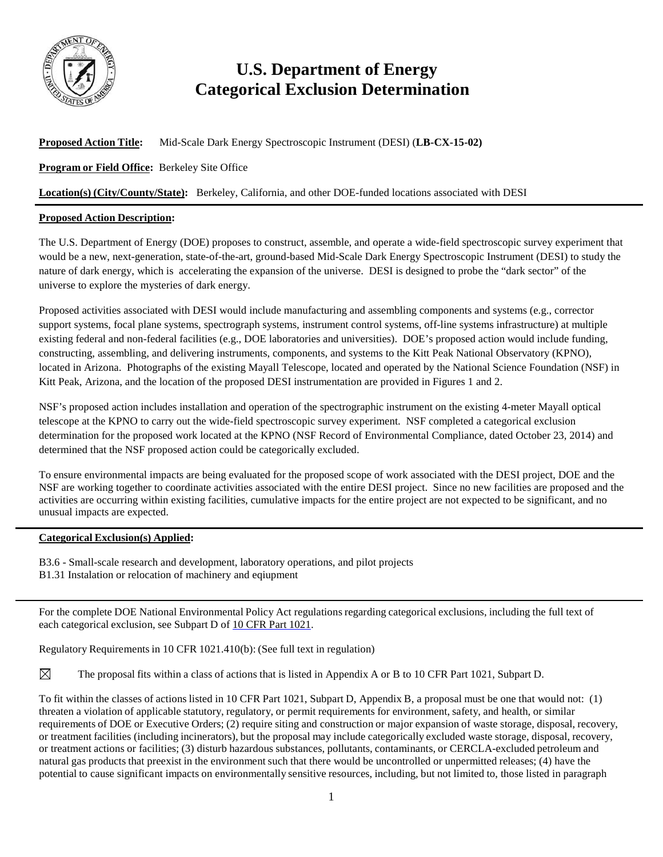

## **U.S. Department of Energy Categorical Exclusion Determination**

**Proposed Action Title:** Mid-Scale Dark Energy Spectroscopic Instrument (DESI) (**LB-CX-15-02)**

**Program or Field Office:** Berkeley Site Office

**Location(s) (City/County/State):** Berkeley, California, and other DOE-funded locations associated with DESI

## **Proposed Action Description:**

The U.S. Department of Energy (DOE) proposes to construct, assemble, and operate a wide-field spectroscopic survey experiment that would be a new, next-generation, state-of-the-art, ground-based Mid-Scale Dark Energy Spectroscopic Instrument (DESI) to study the nature of dark energy, which is accelerating the expansion of the universe. DESI is designed to probe the "dark sector" of the universe to explore the mysteries of dark energy.

Proposed activities associated with DESI would include manufacturing and assembling components and systems (e.g., corrector support systems, focal plane systems, spectrograph systems, instrument control systems, off-line systems infrastructure) at multiple existing federal and non-federal facilities (e.g., DOE laboratories and universities). DOE's proposed action would include funding, constructing, assembling, and delivering instruments, components, and systems to the Kitt Peak National Observatory (KPNO), located in Arizona. Photographs of the existing Mayall Telescope, located and operated by the National Science Foundation (NSF) in Kitt Peak, Arizona, and the location of the proposed DESI instrumentation are provided in Figures 1 and 2.

NSF's proposed action includes installation and operation of the spectrographic instrument on the existing 4-meter Mayall optical telescope at the KPNO to carry out the wide-field spectroscopic survey experiment. NSF completed a categorical exclusion determination for the proposed work located at the KPNO (NSF Record of Environmental Compliance, dated October 23, 2014) and determined that the NSF proposed action could be categorically excluded.

To ensure environmental impacts are being evaluated for the proposed scope of work associated with the DESI project, DOE and the NSF are working together to coordinate activities associated with the entire DESI project. Since no new facilities are proposed and the activities are occurring within existing facilities, cumulative impacts for the entire project are not expected to be significant, and no unusual impacts are expected.

## **Categorical Exclusion(s) Applied:**

B3.6 - Small-scale research and development, laboratory operations, and pilot projects B1.31 Instalation or relocation of machinery and eqiupment

For the complete DOE National Environmental Policy Act regulations regarding categorical exclusions, including the full text of each categorical exclusion, see Subpart D of 10 CFR Part [1021.](http://energy.gov/nepa/downloads/10-cfr-1021-department-energy-national-environmental-policy-act-implementing)

Regulatory Requirements in 10 CFR 1021.410(b): (See full text in regulation)

⊠ The proposal fits within a class of actions that is listed in Appendix A or B to 10 CFR Part 1021, Subpart D.

To fit within the classes of actions listed in 10 CFR Part 1021, Subpart D, Appendix B, a proposal must be one that would not: (1) threaten a violation of applicable statutory, regulatory, or permit requirements for environment, safety, and health, or similar requirements of DOE or Executive Orders; (2) require siting and construction or major expansion of waste storage, disposal, recovery, or treatment facilities (including incinerators), but the proposal may include categorically excluded waste storage, disposal, recovery, or treatment actions or facilities; (3) disturb hazardous substances, pollutants, contaminants, or CERCLA-excluded petroleum and natural gas products that preexist in the environment such that there would be uncontrolled or unpermitted releases; (4) have the potential to cause significant impacts on environmentally sensitive resources, including, but not limited to, those listed in paragraph